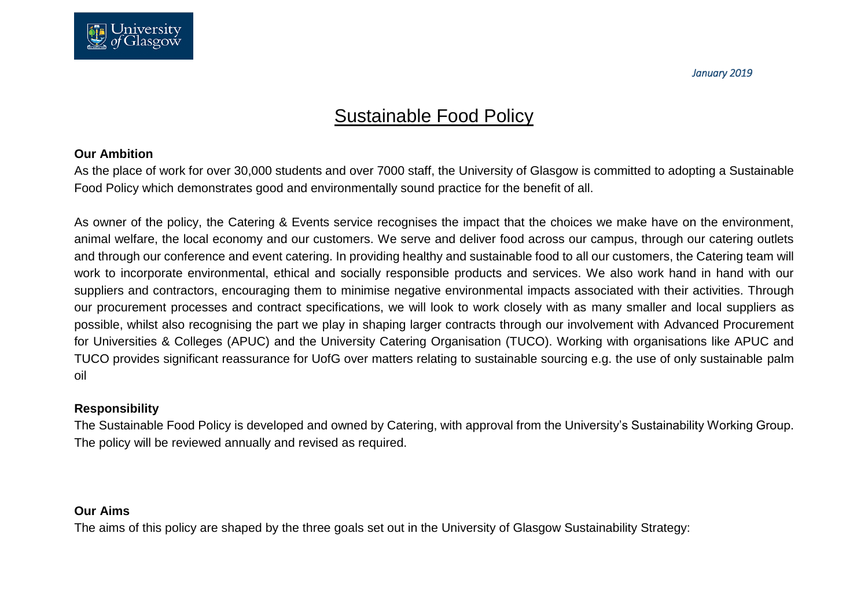

# **Sustainable Food Policy**

#### **Our Ambition**

As the place of work for over 30,000 students and over 7000 staff, the University of Glasgow is committed to adopting a Sustainable Food Policy which demonstrates good and environmentally sound practice for the benefit of all.

As owner of the policy, the Catering & Events service recognises the impact that the choices we make have on the environment, animal welfare, the local economy and our customers. We serve and deliver food across our campus, through our catering outlets and through our conference and event catering. In providing healthy and sustainable food to all our customers, the Catering team will work to incorporate environmental, ethical and socially responsible products and services. We also work hand in hand with our suppliers and contractors, encouraging them to minimise negative environmental impacts associated with their activities. Through our procurement processes and contract specifications, we will look to work closely with as many smaller and local suppliers as possible, whilst also recognising the part we play in shaping larger contracts through our involvement with Advanced Procurement for Universities & Colleges (APUC) and the University Catering Organisation (TUCO). Working with organisations like APUC and TUCO provides significant reassurance for UofG over matters relating to sustainable sourcing e.g. the use of only sustainable palm oil

### **Responsibility**

The Sustainable Food Policy is developed and owned by Catering, with approval from the University's Sustainability Working Group. The policy will be reviewed annually and revised as required.

### **Our Aims**

The aims of this policy are shaped by the three goals set out in the University of Glasgow Sustainability Strategy: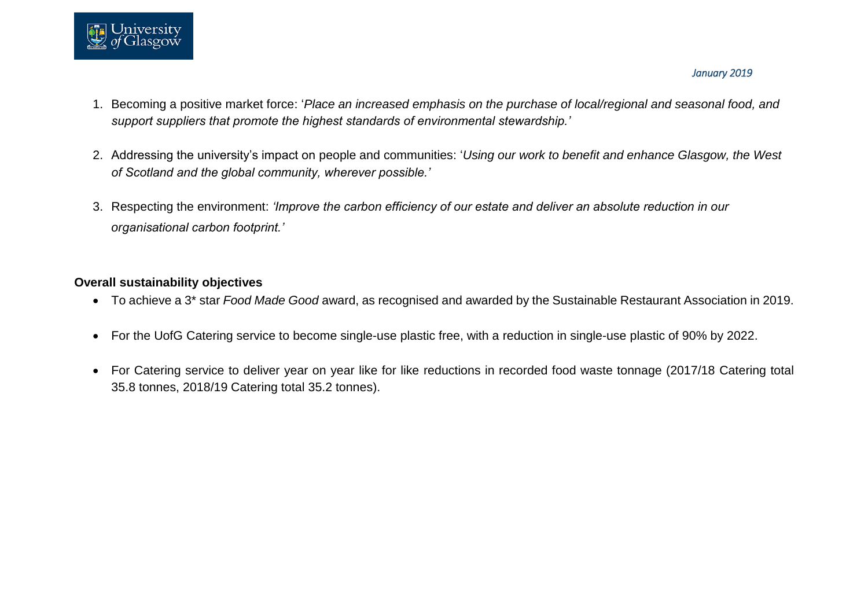

- 1. Becoming a positive market force: '*Place an increased emphasis on the purchase of local/regional and seasonal food, and support suppliers that promote the highest standards of environmental stewardship.'*
- 2. Addressing the university's impact on people and communities: '*Using our work to benefit and enhance Glasgow, the West of Scotland and the global community, wherever possible.'*
- 3. Respecting the environment: *'Improve the carbon efficiency of our estate and deliver an absolute reduction in our organisational carbon footprint.'*

# **Overall sustainability objectives**

- To achieve a 3\* star *Food Made Good* award, as recognised and awarded by the Sustainable Restaurant Association in 2019.
- For the UofG Catering service to become single-use plastic free, with a reduction in single-use plastic of 90% by 2022.
- For Catering service to deliver year on year like for like reductions in recorded food waste tonnage (2017/18 Catering total 35.8 tonnes, 2018/19 Catering total 35.2 tonnes).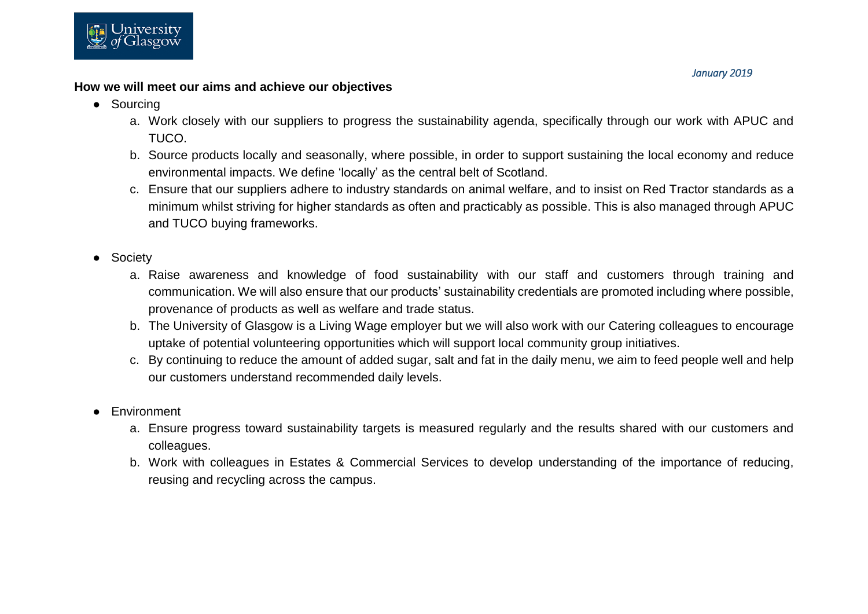

# **How we will meet our aims and achieve our objectives**

- Sourcing
	- a. Work closely with our suppliers to progress the sustainability agenda, specifically through our work with APUC and TUCO.
	- b. Source products locally and seasonally, where possible, in order to support sustaining the local economy and reduce environmental impacts. We define 'locally' as the central belt of Scotland.
	- c. Ensure that our suppliers adhere to industry standards on animal welfare, and to insist on Red Tractor standards as a minimum whilst striving for higher standards as often and practicably as possible. This is also managed through APUC and TUCO buying frameworks.
- Society
	- a. Raise awareness and knowledge of food sustainability with our staff and customers through training and communication. We will also ensure that our products' sustainability credentials are promoted including where possible, provenance of products as well as welfare and trade status.
	- b. The University of Glasgow is a Living Wage employer but we will also work with our Catering colleagues to encourage uptake of potential volunteering opportunities which will support local community group initiatives.
	- c. By continuing to reduce the amount of added sugar, salt and fat in the daily menu, we aim to feed people well and help our customers understand recommended daily levels.
- **Environment** 
	- a. Ensure progress toward sustainability targets is measured regularly and the results shared with our customers and colleagues.
	- b. Work with colleagues in Estates & Commercial Services to develop understanding of the importance of reducing, reusing and recycling across the campus.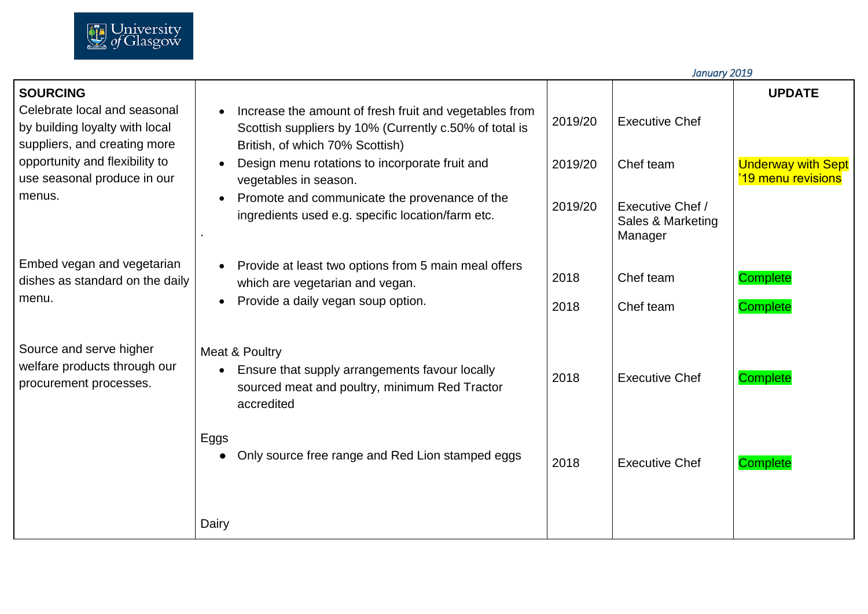

|                                                                                                                   |                                                                                                                                                                                            |                    | January 2019                                                  |                                                 |
|-------------------------------------------------------------------------------------------------------------------|--------------------------------------------------------------------------------------------------------------------------------------------------------------------------------------------|--------------------|---------------------------------------------------------------|-------------------------------------------------|
| <b>SOURCING</b><br>Celebrate local and seasonal<br>by building loyalty with local<br>suppliers, and creating more | Increase the amount of fresh fruit and vegetables from<br>$\bullet$<br>Scottish suppliers by 10% (Currently c.50% of total is<br>British, of which 70% Scottish)                           | 2019/20            | <b>Executive Chef</b>                                         | <b>UPDATE</b>                                   |
| opportunity and flexibility to<br>use seasonal produce in our<br>menus.                                           | Design menu rotations to incorporate fruit and<br>vegetables in season.<br>Promote and communicate the provenance of the<br>$\bullet$<br>ingredients used e.g. specific location/farm etc. | 2019/20<br>2019/20 | Chef team<br>Executive Chef /<br>Sales & Marketing<br>Manager | <b>Underway with Sept</b><br>'19 menu revisions |
| Embed vegan and vegetarian<br>dishes as standard on the daily<br>menu.                                            | Provide at least two options from 5 main meal offers<br>which are vegetarian and vegan.<br>Provide a daily vegan soup option.<br>$\bullet$                                                 | 2018<br>2018       | Chef team<br>Chef team                                        | <b>Complete</b><br><b>Complete</b>              |
| Source and serve higher<br>welfare products through our<br>procurement processes.                                 | Meat & Poultry<br>Ensure that supply arrangements favour locally<br>$\bullet$<br>sourced meat and poultry, minimum Red Tractor<br>accredited                                               | 2018               | <b>Executive Chef</b>                                         | <b>Complete</b>                                 |
|                                                                                                                   | Eggs<br>Only source free range and Red Lion stamped eggs                                                                                                                                   | 2018               | <b>Executive Chef</b>                                         | <b>Complete</b>                                 |
|                                                                                                                   | Dairy                                                                                                                                                                                      |                    |                                                               |                                                 |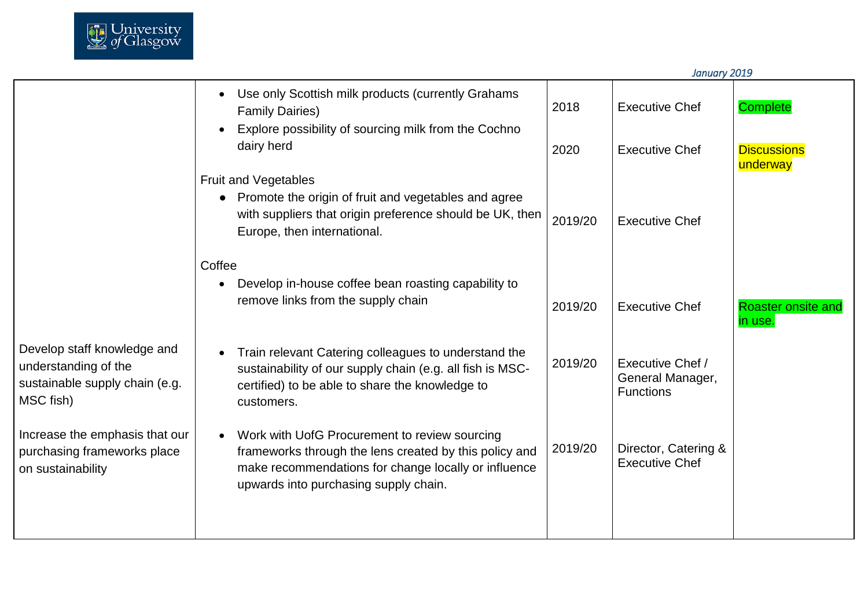

|                                                                                                    |                                                                                                                                                                                                          |              | January 2019                                             |                                                   |
|----------------------------------------------------------------------------------------------------|----------------------------------------------------------------------------------------------------------------------------------------------------------------------------------------------------------|--------------|----------------------------------------------------------|---------------------------------------------------|
|                                                                                                    | Use only Scottish milk products (currently Grahams<br><b>Family Dairies)</b><br>Explore possibility of sourcing milk from the Cochno<br>dairy herd                                                       | 2018<br>2020 | <b>Executive Chef</b><br><b>Executive Chef</b>           | <b>Complete</b><br><b>Discussions</b><br>underway |
|                                                                                                    | <b>Fruit and Vegetables</b><br>Promote the origin of fruit and vegetables and agree<br>with suppliers that origin preference should be UK, then<br>Europe, then international.                           | 2019/20      | <b>Executive Chef</b>                                    |                                                   |
|                                                                                                    | Coffee<br>Develop in-house coffee bean roasting capability to<br>remove links from the supply chain                                                                                                      | 2019/20      | <b>Executive Chef</b>                                    | <b>Roaster onsite and</b><br>in use.              |
| Develop staff knowledge and<br>understanding of the<br>sustainable supply chain (e.g.<br>MSC fish) | Train relevant Catering colleagues to understand the<br>sustainability of our supply chain (e.g. all fish is MSC-<br>certified) to be able to share the knowledge to<br>customers.                       | 2019/20      | Executive Chef /<br>General Manager,<br><b>Functions</b> |                                                   |
| Increase the emphasis that our<br>purchasing frameworks place<br>on sustainability                 | Work with UofG Procurement to review sourcing<br>frameworks through the lens created by this policy and<br>make recommendations for change locally or influence<br>upwards into purchasing supply chain. | 2019/20      | Director, Catering &<br><b>Executive Chef</b>            |                                                   |
|                                                                                                    |                                                                                                                                                                                                          |              |                                                          |                                                   |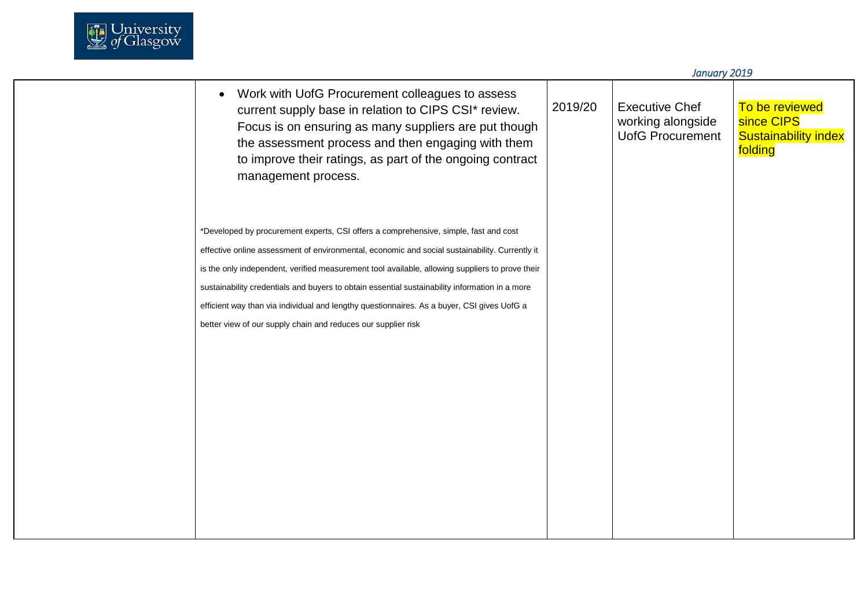

|                                                                                                                                                                                                                                                                                                                                                                                                                                                                                                                                                            |         | January 2019                                                          |                                                                        |
|------------------------------------------------------------------------------------------------------------------------------------------------------------------------------------------------------------------------------------------------------------------------------------------------------------------------------------------------------------------------------------------------------------------------------------------------------------------------------------------------------------------------------------------------------------|---------|-----------------------------------------------------------------------|------------------------------------------------------------------------|
| Work with UofG Procurement colleagues to assess<br>current supply base in relation to CIPS CSI* review.<br>Focus is on ensuring as many suppliers are put though<br>the assessment process and then engaging with them<br>to improve their ratings, as part of the ongoing contract<br>management process.                                                                                                                                                                                                                                                 | 2019/20 | <b>Executive Chef</b><br>working alongside<br><b>UofG Procurement</b> | To be reviewed<br>since CIPS<br><b>Sustainability index</b><br>folding |
| *Developed by procurement experts, CSI offers a comprehensive, simple, fast and cost<br>effective online assessment of environmental, economic and social sustainability. Currently it<br>is the only independent, verified measurement tool available, allowing suppliers to prove their<br>sustainability credentials and buyers to obtain essential sustainability information in a more<br>efficient way than via individual and lengthy questionnaires. As a buyer, CSI gives UofG a<br>better view of our supply chain and reduces our supplier risk |         |                                                                       |                                                                        |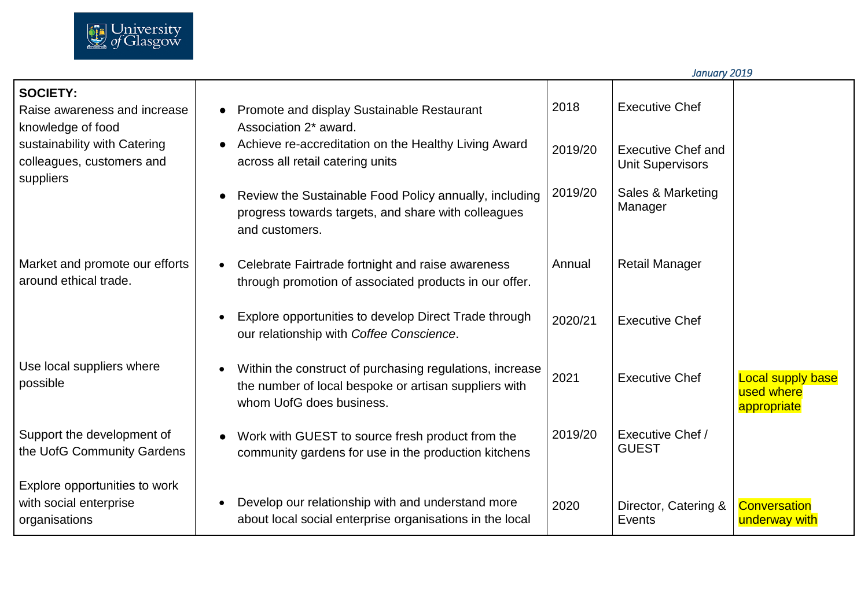

| <b>SOCIETY:</b><br>Raise awareness and increase<br>knowledge of food<br>sustainability with Catering<br>colleagues, customers and | <b>Promote and display Sustainable Restaurant</b><br>Association 2* award.<br>Achieve re-accreditation on the Healthy Living Award<br>$\bullet$<br>across all retail catering units | 2018<br>2019/20 | <b>Executive Chef</b><br><b>Executive Chef and</b><br><b>Unit Supervisors</b> |                                                       |
|-----------------------------------------------------------------------------------------------------------------------------------|-------------------------------------------------------------------------------------------------------------------------------------------------------------------------------------|-----------------|-------------------------------------------------------------------------------|-------------------------------------------------------|
| suppliers                                                                                                                         | Review the Sustainable Food Policy annually, including<br>progress towards targets, and share with colleagues<br>and customers.                                                     | 2019/20         | Sales & Marketing<br>Manager                                                  |                                                       |
| Market and promote our efforts<br>around ethical trade.                                                                           | Celebrate Fairtrade fortnight and raise awareness<br>through promotion of associated products in our offer.                                                                         | Annual          | <b>Retail Manager</b>                                                         |                                                       |
|                                                                                                                                   | Explore opportunities to develop Direct Trade through<br>our relationship with Coffee Conscience.                                                                                   | 2020/21         | <b>Executive Chef</b>                                                         |                                                       |
| Use local suppliers where<br>possible                                                                                             | Within the construct of purchasing regulations, increase<br>the number of local bespoke or artisan suppliers with<br>whom UofG does business.                                       | 2021            | <b>Executive Chef</b>                                                         | <b>Local supply base</b><br>used where<br>appropriate |
| Support the development of<br>the UofG Community Gardens                                                                          | Work with GUEST to source fresh product from the<br>community gardens for use in the production kitchens                                                                            | 2019/20         | Executive Chef /<br><b>GUEST</b>                                              |                                                       |
| Explore opportunities to work<br>with social enterprise<br>organisations                                                          | Develop our relationship with and understand more<br>about local social enterprise organisations in the local                                                                       | 2020            | Director, Catering &<br>Events                                                | <b>Conversation</b><br>underway with                  |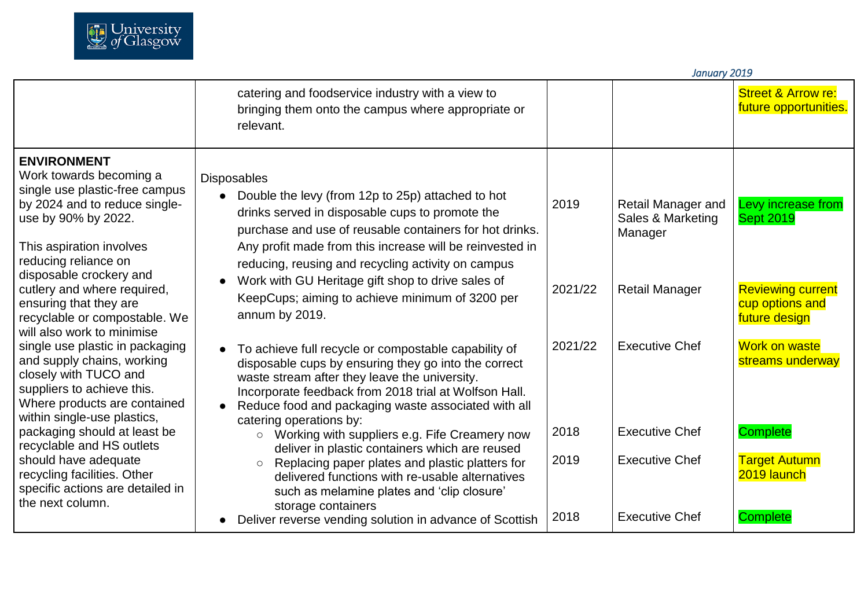

|                                                                                                                                                                                             |                                                                                                                                                                                                                                                                                                          |         | January 2019                                       |                                                              |
|---------------------------------------------------------------------------------------------------------------------------------------------------------------------------------------------|----------------------------------------------------------------------------------------------------------------------------------------------------------------------------------------------------------------------------------------------------------------------------------------------------------|---------|----------------------------------------------------|--------------------------------------------------------------|
|                                                                                                                                                                                             | catering and foodservice industry with a view to<br>bringing them onto the campus where appropriate or<br>relevant.                                                                                                                                                                                      |         |                                                    | <b>Street &amp; Arrow re:</b><br>future opportunities.       |
| <b>ENVIRONMENT</b><br>Work towards becoming a<br>single use plastic-free campus<br>by 2024 and to reduce single-<br>use by 90% by 2022.<br>This aspiration involves<br>reducing reliance on | <b>Disposables</b><br>Double the levy (from 12p to 25p) attached to hot<br>drinks served in disposable cups to promote the<br>purchase and use of reusable containers for hot drinks.<br>Any profit made from this increase will be reinvested in                                                        | 2019    | Retail Manager and<br>Sales & Marketing<br>Manager | Levy increase from<br><b>Sept 2019</b>                       |
| disposable crockery and<br>cutlery and where required,<br>ensuring that they are<br>recyclable or compostable. We<br>will also work to minimise                                             | reducing, reusing and recycling activity on campus<br>Work with GU Heritage gift shop to drive sales of<br>$\bullet$<br>KeepCups; aiming to achieve minimum of 3200 per<br>annum by 2019.                                                                                                                | 2021/22 | <b>Retail Manager</b>                              | <b>Reviewing current</b><br>cup options and<br>future design |
| single use plastic in packaging<br>and supply chains, working<br>closely with TUCO and<br>suppliers to achieve this.<br>Where products are contained<br>within single-use plastics,         | To achieve full recycle or compostable capability of<br>disposable cups by ensuring they go into the correct<br>waste stream after they leave the university.<br>Incorporate feedback from 2018 trial at Wolfson Hall.<br>Reduce food and packaging waste associated with all<br>catering operations by: | 2021/22 | <b>Executive Chef</b>                              | Work on waste<br>streams underway                            |
| packaging should at least be                                                                                                                                                                | Working with suppliers e.g. Fife Creamery now<br>$\circ$                                                                                                                                                                                                                                                 | 2018    | <b>Executive Chef</b>                              | <b>Complete</b>                                              |
| recyclable and HS outlets<br>should have adequate<br>recycling facilities. Other<br>specific actions are detailed in<br>the next column.                                                    | deliver in plastic containers which are reused<br>Replacing paper plates and plastic platters for<br>$\circ$<br>delivered functions with re-usable alternatives<br>such as melamine plates and 'clip closure'<br>storage containers                                                                      | 2019    | <b>Executive Chef</b>                              | <b>Target Autumn</b><br>2019 launch                          |
|                                                                                                                                                                                             | Deliver reverse vending solution in advance of Scottish                                                                                                                                                                                                                                                  | 2018    | <b>Executive Chef</b>                              | <b>Complete</b>                                              |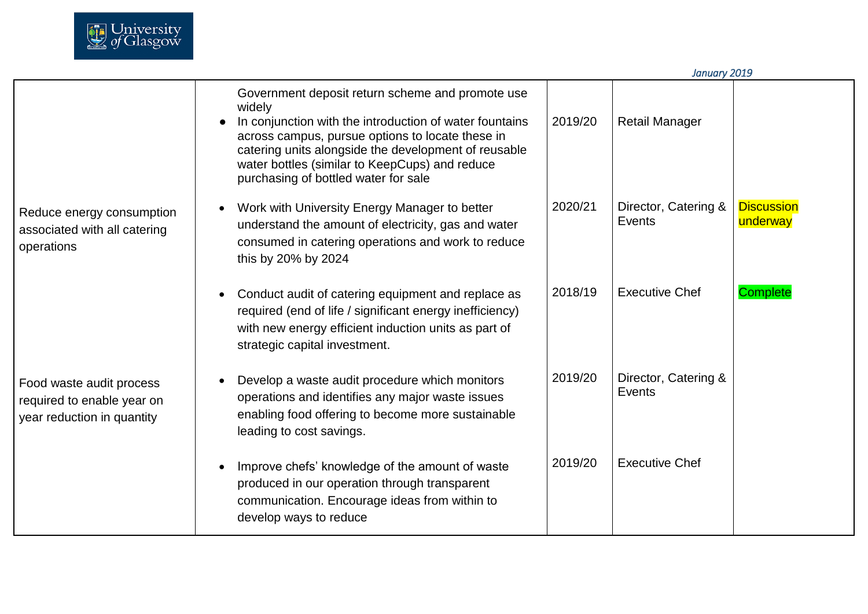

|                                                                                      |                                                                                                                                                                                                                                                                                                                             |         | January 2019                   |                               |
|--------------------------------------------------------------------------------------|-----------------------------------------------------------------------------------------------------------------------------------------------------------------------------------------------------------------------------------------------------------------------------------------------------------------------------|---------|--------------------------------|-------------------------------|
|                                                                                      | Government deposit return scheme and promote use<br>widely<br>In conjunction with the introduction of water fountains<br>across campus, pursue options to locate these in<br>catering units alongside the development of reusable<br>water bottles (similar to KeepCups) and reduce<br>purchasing of bottled water for sale | 2019/20 | <b>Retail Manager</b>          |                               |
| Reduce energy consumption<br>associated with all catering<br>operations              | Work with University Energy Manager to better<br>understand the amount of electricity, gas and water<br>consumed in catering operations and work to reduce<br>this by 20% by 2024                                                                                                                                           | 2020/21 | Director, Catering &<br>Events | <b>Discussion</b><br>underway |
|                                                                                      | Conduct audit of catering equipment and replace as<br>required (end of life / significant energy inefficiency)<br>with new energy efficient induction units as part of<br>strategic capital investment.                                                                                                                     | 2018/19 | <b>Executive Chef</b>          | <b>Complete</b>               |
| Food waste audit process<br>required to enable year on<br>year reduction in quantity | Develop a waste audit procedure which monitors<br>operations and identifies any major waste issues<br>enabling food offering to become more sustainable<br>leading to cost savings.                                                                                                                                         | 2019/20 | Director, Catering &<br>Events |                               |
|                                                                                      | Improve chefs' knowledge of the amount of waste<br>produced in our operation through transparent<br>communication. Encourage ideas from within to<br>develop ways to reduce                                                                                                                                                 | 2019/20 | <b>Executive Chef</b>          |                               |